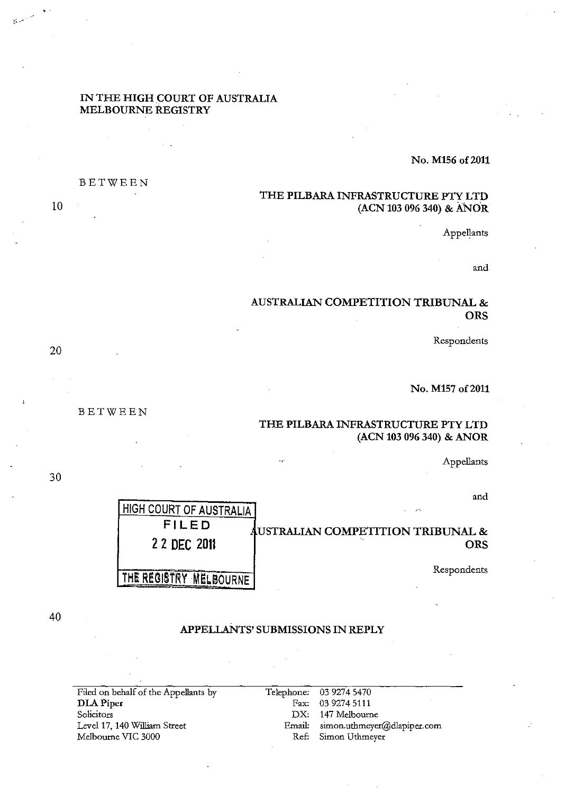#### IN THE HIGH COURT OF AUSTRALIA MELBOURNE REGISTRY

No. M156 of 2011

# THE PILBARA INFRASTRUCTURE PTY LTD (ACN 103 096 340) & ANOR

Appellants

and

# AUSTRALIAN COMPETITION TRIBUNAL & **ORS**

Respondents

No. M157 of 2011

## THE PILBARA INFRASTRUCTURE PTY LTD (ACN 103 096 340) & ANOR

Appellants

and

| <b>HIGH COURT OF AUSTRALIA!</b> | $\sim$                                       |
|---------------------------------|----------------------------------------------|
| FILED                           | <b>AUSTRALIAN COMPETITION TRIBUNAL &amp;</b> |
| 2 2 DEC 2011                    | ORS                                          |
| AMELBOURNE!                     | Respondents                                  |

10

20

BETWEEN

BETWEEN

30

40

# APPELLANTS' SUBMISSIONS IN REPLY

Filed on behalf of the Appellants by DLAPiper Solicitors Level 17, 140 William Street Melbourne VIC 3000 Telephone: 03 9274 5470 Fax: 03 9274 5111 DX: 147 Melbourne Email: simon.utbmeyer@dlapiper.com Ref: Simon Utbmeyer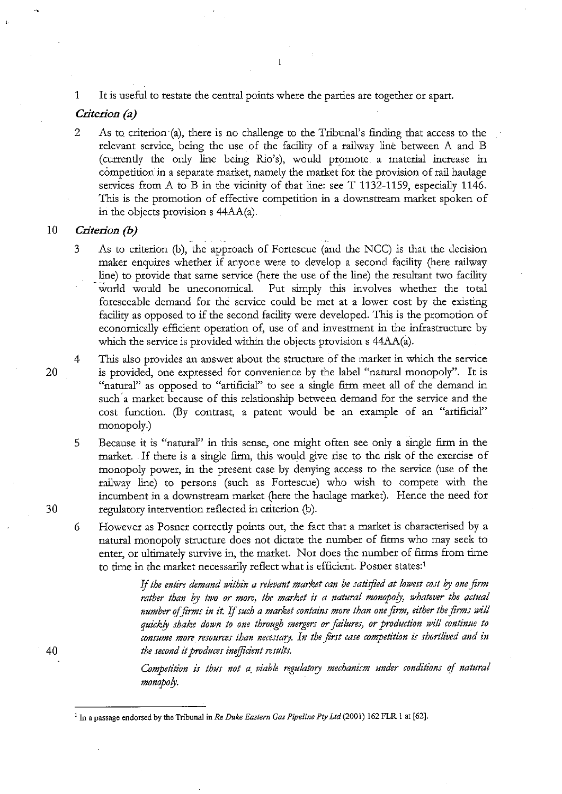1 It is useful to restate the central points where the parties are together or apart.

#### *Criterion (a)*

2 As to criterion (a), there is no challenge to the Tribunal's finding that access to the relevant service, being the use of the facility of a railway line between A and B (currently the only line being Rio's), would promote a material increase in competition in a separate market, namely the market for the provision of rail haulage services from A to B in the vicinity of that line: see  $T$  1132-1159, especially 1146. This is the promotion of effective competition in a downstream market spoken of in the objects provision s 44AA(a).

#### 10 *Criterion (b)*

- 3 As to criterion (b), the approach of Fortescue (and the NCC) is that the decision maker enquires whether if anyone were to develop a second facility (here railway line) to provide that same service (here the use of the line) the resultant two facility world would be uneconomical. Put simply this involves whether the total foreseeable demand for the service could be met at a lower cost by the existing facility as opposed to if the second facility were developed. This is the promotion of economically efficient operation of, use of and investment in the infrastructure by which the service is provided within the objects provision s 44AA(a).
- 4 This also provides an answer about the structure of the market in which the service is provided, one expressed for convenience by the label "natural monopoly". It is "natural" as opposed to "artificial" to see a single firm meet all of the demand in such' a market because of this relationship between demand for the service and the cost function. (By contrast, a patent would be an example of an "artificial" monopoly.)
	- 5 Because it is "natural" in this sense, one might often see only a single firm in the market. If there is a single firm, this would give rise to the risk of the exercise of monopoly power, in the present case by denying access to the service (use of the railway line) to persons (such as Fortescue) who wish to compete with the incumbent in a downstream market (bere the haulage market). Hence the need for regulatory intervention reflected in criterion (b).
	- 6 However as Posner correctly points out, the fact that a market is characterised by a natural monopoly structure does not dictate the number of fitms who may seek to enter, or ultimately survive in, the market. Nor does the number of firms from time to time in the market necessarily reflect what is efficient. Posner states: <sup>1</sup>

If *the entire demand within a relevant market can be satisfied at lowest cost* by *one firm rather than* by *two or more, the market is a natural monopoly, whatever the actual number* of *firms in it.* If *such a market contains more than one firm, either the firms will quickly shake down to one through mergers or failures, or production will continue to consume more resources than necessary. In the first case competition is shortlived and in the second it produces inefficient results.* 

*Competition is thus not a. viable regulatory mechanism under conditions* of *natural monopoly.* 

20

30

40

<sup>&</sup>lt;sup>1</sup> In a passage endorsed by the Tribunal in *Re Duke Eastern Gas Pipeline Pty Ltd* (2001) 162 FLR 1 at [62].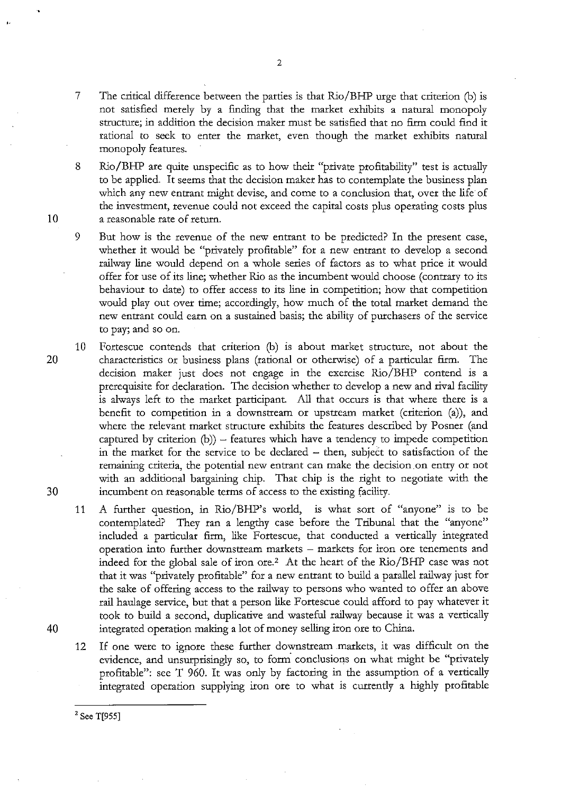8 Rio/BHP are quite unspecific as to how their "private profitability" test is actually to be applied. It seems that the decision maker has to contemplate the business plan which any new entrant might devise, and come to a conclusion that, over the life of the investment, revenue could not exceed the capital costs plus operating costs plus 10 a reasonable rate of return.

9 But how is the revenue of the new entrant to be predicted? In the present case, whether it would be "privately profitable" for a new entrant to develop a second railway line would depend on a whole series of factors as to what price it would offer for use of its line; whether Rio as the incumbent would choose (contrary to its behaviour to date) to offer access to its line in competition; how that competition would play out over time; accordingly, how much of the total market demand the new entrant could earn on a sustained basis; the ability of purchasers of the service to pay; and so on.

10 Fortescue contends that criterion (b) is about market structure, not about the 20 characteristics or business plans (rational or otherwise) of a particular firm. The decision maker just does not engage in the exercise Rio/BHP contend is a prerequisite for declaration. The decision whether to develop a new and rival facility is always left to the market participant. All that occurs is that where there is a benefit to competition in a downstream or upstream market (criterion (a)), and where the relevant market structure exhibits the features described by Posner (and captured by criterion  $(b)$ ) – features which have a tendency to impede competition in the market for the service to be declared – then, subject to satisfaction of the remaining criteria, the potential new entrant can make the decision on entry or not with an additional bargaining chip. That chip is the right to negotiate with the 30 incumbent on reasonable terms of access to the existing facility.

11 A further question, in Rio/BHP's world, is what sort of "anyone" is to be contemplated? They ran a lengthy case before the Tribunal that the "anyone" included a particular firm, like Fortescue, that conducted a vertically integrated operation into further downstream markets - markets for iron ore tenements and indeed for the global sale of iron ore.<sup>2</sup> At the heart of the  $\rm{Rio/BHP}$  case was not that it was "privately profitable" for a new entrant to build a parallel railway just for the sake of offering access to the railway to persons who wanted to offer an above rail haulage service, but that a person like Fortescue could afford to pay whatever it took to build a second, duplicative and wasteful railway because it was a vertically 40 integrated operation making a lot of money selling iron ore to China.

12 If one were to ignore these further downstream markets, it was difficult on the evidence, and unsurprisingly so, to form conclusions on what might be "privately profitable": see T 960. It was only by factoring in the assumption of a vertically integrated operation supplying iron ore to what is currently a highly profitable

<sup>2</sup> See T[955]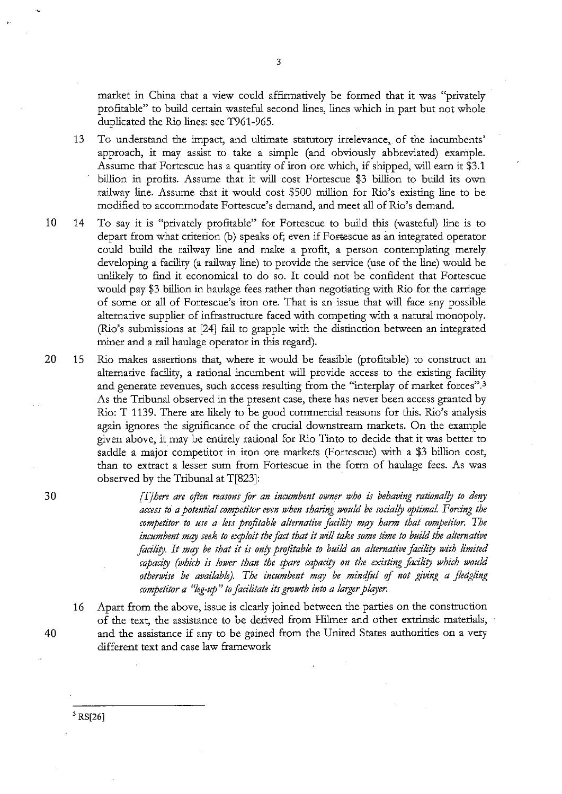market in China that a view could affirmatively be formed that it was "privately profitable" to build certain wasteful second lines, lines which in part but not whole duplicated the Rio lines: see T961-965.

- 13 To understand the impact, and ultimate statutory irrelevance,. of the incumbents' approach, it may assist to take a simple (and obviously abbreviated) example. Assume that Fortescue has a quantity of iron ore which, if shipped, will earn it \$3.1 billion in profits. Assume that it will cost Fortescue \$3 billion to build its own railway line. Assume that it would cost \$500 million for Rio's existing line to be modified to accommodate Fortescue's demand, and meet all of Rio's demand.
- 10 14 To say it is "privately profitable" for Fortescue to build this (wasteful) line is to depart from what criterion (b) speaks of; even if Fortescue as an integrated operator could build the railway line and make a profit, a person contemplating merely developing a facility (a railway line) to provide the service (use of the line) would be unlikely to find it economical to do so. It could not be confident that Fortescue would pay \$3 billion in haulage fees rather than negotiating with Rio for the carriage of some or all of Fortescue's iron ore. That is an issue that will face any possible alternative supplier of infrastructure faced with competing with a natural monopoly. (Rio's submissions at [24] fail to grapple with the distinction between an integrated miner and a rail haulage operator in this regard).
- 20 15 Rio makes assertions that, where it would be feasible (profitable) to construct an alternative facility, a rational incumbent will provide access to the existing facility and generate revenues, such access resulting from the "interplay of market forces". <sup>3</sup> As the Tribunal observed in the present case, there has never been access granted by Rio: T 1139. There are likely to be good commercial reasons for this. Rio's analysis again ignores the significance of the crucial downstream markets. On the example given above, it may be entirely rational for Rio Tinto to decide that it was better to saddle a major competitor in iron ore markets (Fortescue) with a \$3 billion cost, than to extract a lesser sum from Fortescue in the form of haulage fees. As was observed by the Tribunal at T[823]:

[T] *here are often reasons for an incumbent owner who is behaving rationally to deny access td a potential competitor even when sharing would be socialfy optimal. Forcing the competitor to use a less profitable alternative facility may harm that competitor. The incumbent mqy seek to exploit the fact that it will take some time to build the alternative*  facility. It may be that it is only profitable to build an alternative facility with limited capacity (which is lower than the spare capacity on the existing facility which would *otherwise be available). The incumbent may be mindful* of *not giving a fledgling competitor a "leg-up" to facilitate its growth into a larger plqyer.* 

16 Apart from the above, issue is clearly joined between the parties on the construction of the text, the assistance to be derived from Hihner and other extrinsic materials, 40 and the assistance if any to be gained from the United States authorities on a very different text and case law framework

30

 $3$  RS[26]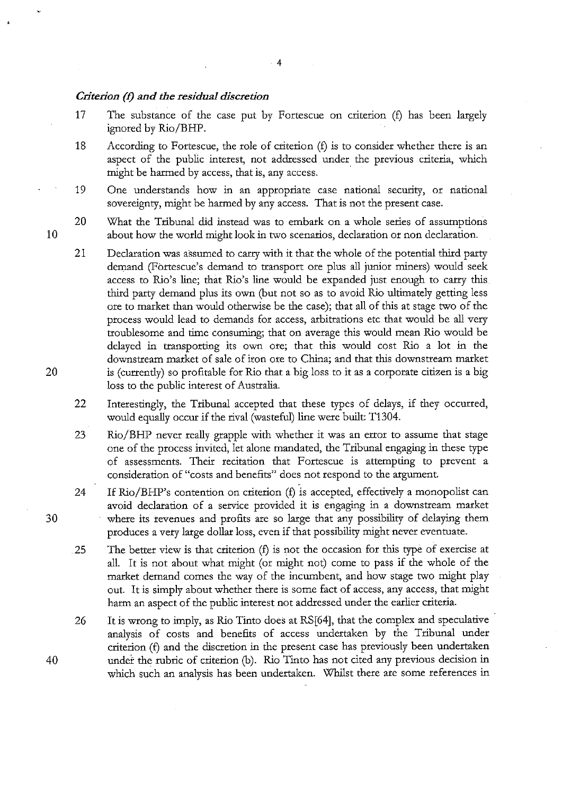#### *Criterion* (f) *and the residual discretion*

17 The substance of the case put by Fortescue on criterion (f) has been largely ignored by Rio/BHP.

4

- 18 According to Fortescue, the role of criterion (f) is to consider whether there is an aspect of the public interest, not addressed under the previous criteria, which might be harmed by access, that is, any access.
- 19 One understands how in an appropriate case national security, or national sovereignty, might be harmed by any access. That is not the present case.

20 What the Tribunal did instead was to embark on a whole series of assumptions about how the world might look in two scenarios, declaration or non declaration.

- 21 Declaration was assumed to carry with it that the whole of the potential third party demand (Fortescue's demand to transport ore plus all junior miners) would seek access to Rio's line; that Rio's line would be expanded just enough to carry this third party demand plus its own (but not so as to avoid Rio ultimately getting less ore to market than would otherwise be the case); that all of this at stage two of the process would lead to demands for access, arbitrations etc that would be all very troublesome and time consuming; that on average this would mean Rio would be delayed in transporting its own ore; that this would cost Rio a lot in the downstream market of sale of iron ore to China; and that this downstream market is (currently) so profitable for Rio that a big loss to it as a corporate citizen is a big loss to the public interest of Australia.
- 22 Interestingly, the Tribunal accepted that these types of delays, if they occurred, would equally occur if the rival (wasteful) line were built: T1304.
- 23 Rio/BHP never really grapple with whether it was an error to assume that stage one of the process invited, let alone mandated, the Tribunal engaging in these type of assessments. Their recitation that Fortescue is attempting to prevent a consideration of "costs and benefits" does not respond to the argument.
- 24 If Rio/BHP's contention on criterion (f) is accepted, effectively a monopolist can avoid declaration of a service provided it is engaging in a downstream market where its revenues and profits are so large that any possibility of delaying them produces a very large dollar loss, even if that possibility might never eventuate.
- 25 The better view is that criterion (f) is not the occasion for this type of exercise at all. It is not about what might (or might not) come to pass if the whole of the market demand comes the way of the incumbent, and how stage two might play out. It is simply about whether there is some fact of access, any access, that might harm an aspect of the public interest not addressed under the earlier criteria.
- 26 It is wrong to imply, as Rio Tinto does at RS[64], that the complex and speculative analysis of costs and benefits of access undertaken by the Tribunal under criterion (f) and the discretion in the present case has previously been undertaken under the rubric of criterion (b). Rio Tinto has not cited any previous decision in which such an analysis has been undertaken. Whilst there are some references in

20

10

30

40